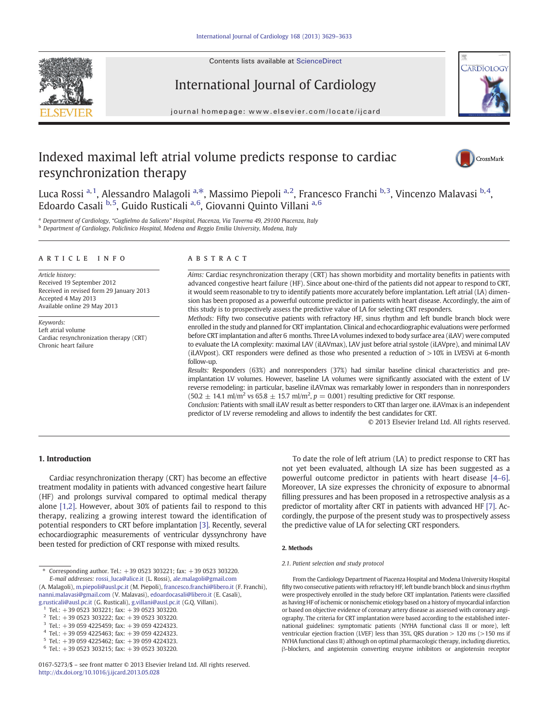

Contents lists available at [ScienceDirect](http://www.sciencedirect.com/science/journal/01675273)

# International Journal of Cardiology





# Indexed maximal left atrial volume predicts response to cardiac resynchronization therapy



Luca Rossi <sup>a, 1</sup>, Alessandro Malagoli <sup>a, $\ast$ </sup>, Massimo Piepoli <sup>a, 2</sup>, Francesco Franchi <sup>b, 3</sup>, Vincenzo Malavasi <sup>b, 4</sup>, Edoardo Casali <sup>b,5</sup>, Guido Rusticali <sup>a,6</sup>, Giovanni Quinto Villani <sup>a,6</sup>

<sup>a</sup> Department of Cardiology, "Guglielmo da Saliceto" Hospital, Piacenza, Via Taverna 49, 29100 Piacenza, Italy b Department of Cardiology, Policlinico Hospital, Modena and Reggio Emilia University, Modena, Italy

#### article info abstract

Article history: Received 19 September 2012 Received in revised form 29 January 2013 Accepted 4 May 2013 Available online 29 May 2013

Keywords: Left atrial volume Cardiac resynchronization therapy (CRT) Chronic heart failure

Aims: Cardiac resynchronization therapy (CRT) has shown morbidity and mortality benefits in patients with advanced congestive heart failure (HF). Since about one-third of the patients did not appear to respond to CRT, it would seem reasonable to try to identify patients more accurately before implantation. Left atrial (LA) dimension has been proposed as a powerful outcome predictor in patients with heart disease. Accordingly, the aim of this study is to prospectively assess the predictive value of LA for selecting CRT responders.

Methods: Fifty two consecutive patients with refractory HF, sinus rhythm and left bundle branch block were enrolled in the study and planned for CRT implantation. Clinical and echocardiographic evaluations were performed before CRT implantation and after 6 months. Three LA volumes indexed to body surface area (iLAV) were computed to evaluate the LA complexity: maximal LAV (iLAVmax), LAV just before atrial systole (iLAVpre), and minimal LAV (iLAVpost). CRT responders were defined as those who presented a reduction of >10% in LVESVi at 6-month follow-up.

Results: Responders (63%) and nonresponders (37%) had similar baseline clinical characteristics and preimplantation LV volumes. However, baseline LA volumes were significantly associated with the extent of LV reverse remodeling: in particular, baseline iLAVmax was remarkably lower in responders than in nonresponders  $(50.2 \pm 14.1 \text{ ml/m}^2 \text{ vs } 65.8 \pm 15.7 \text{ ml/m}^2, p = 0.001)$  resulting predictive for CRT response.

Conclusion: Patients with small iLAV result as better responders to CRT than larger one. iLAVmax is an independent predictor of LV reverse remodeling and allows to indentify the best candidates for CRT.

© 2013 Elsevier Ireland Ltd. All rights reserved.

# 1. Introduction

Cardiac resynchronization therapy (CRT) has become an effective treatment modality in patients with advanced congestive heart failure (HF) and prolongs survival compared to optimal medical therapy alone [\[1,2\].](#page-4-0) However, about 30% of patients fail to respond to this therapy, realizing a growing interest toward the identification of potential responders to CRT before implantation [\[3\]](#page-4-0). Recently, several echocardiographic measurements of ventricular dyssynchrony have been tested for prediction of CRT response with mixed results.

⁎ Corresponding author. Tel.: +39 0523 303221; fax: +39 0523 303220. E-mail addresses: [rossi\\_luca@alice.it](mailto:rossi_luca@alice.it) (L. Rossi), [ale.malagoli@gmail.com](mailto:ale.malagoli@gmail.com)

(A. Malagoli), [m.piepoli@ausl.pc.it](mailto:m.piepoli@ausl.pc.it) (M. Piepoli), [francesco.franchi@libero.it](mailto:francesco.franchi@libero.it) (F. Franchi), [nanni.malavasi@gmail.com](mailto:nanni.malavasi@gmail.com) (V. Malavasi), [edoardocasali@libero.it](mailto:edoardocasali@libero.it) (E. Casali), [g.rusticali@ausl.pc.it](mailto:g.rusticali@ausl.pc.it) (G. Rusticali), [g.villani@ausl.pc.it](mailto:g.villani@ausl.pc.it) (G.Q. Villani).

Tel.:  $+390523303222$ ; fax:  $+390523303220$ .

<sup>3</sup> Tel.: +39 059 4225459; fax: +39 059 4224323.

 $5$  Tel.: +39 059 4225462; fax: +39 059 4224323.

To date the role of left atrium (LA) to predict response to CRT has not yet been evaluated, although LA size has been suggested as a powerful outcome predictor in patients with heart disease [4–[6\].](#page-4-0) Moreover, LA size expresses the chronicity of exposure to abnormal filling pressures and has been proposed in a retrospective analysis as a predictor of mortality after CRT in patients with advanced HF [\[7\]](#page-4-0). Accordingly, the purpose of the present study was to prospectively assess the predictive value of LA for selecting CRT responders.

#### 2. Methods

#### 2.1. Patient selection and study protocol

From the Cardiology Department of Piacenza Hospital and Modena University Hospital fifty two consecutive patients with refractory HF, left bundle branch block and sinus rhythm were prospectively enrolled in the study before CRT implantation. Patients were classified as having HF of ischemic or nonischemic etiology based on a history of myocardial infarction or based on objective evidence of coronary artery disease as assessed with coronary angiography. The criteria for CRT implantation were based according to the established international guidelines: symptomatic patients (NYHA functional class II or more), left ventricular ejection fraction (LVEF) less than 35%, QRS duration > 120 ms (>150 ms if NYHA functional class II) although on optimal pharmacologic therapy, including diuretics, β-blockers, and angiotensin converting enzyme inhibitors or angiotensin receptor

 $1$  Tel.: +39 0523 303221; fax: +39 0523 303220.

Tel.: +39 059 4225463; fax: +39 059 4224323.

 $6$  Tel.: +39 0523 303215; fax: +39 0523 303220.

<sup>0167-5273/\$</sup> – see front matter © 2013 Elsevier Ireland Ltd. All rights reserved. <http://dx.doi.org/10.1016/j.ijcard.2013.05.028>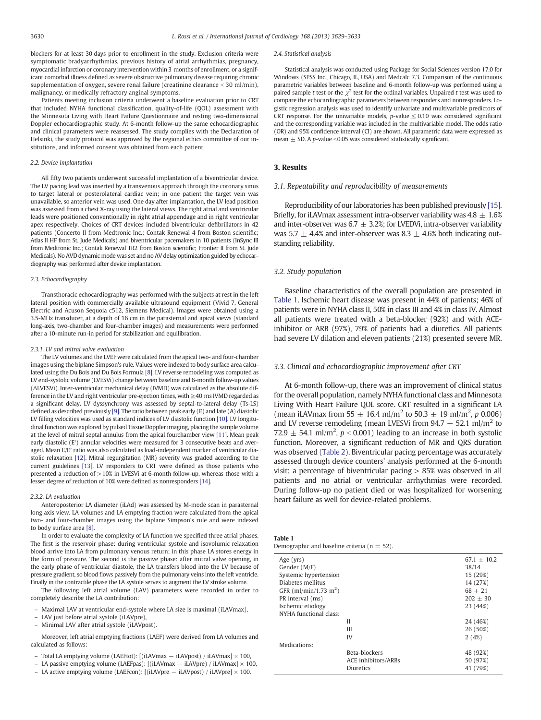blockers for at least 30 days prior to enrollment in the study. Exclusion criteria were symptomatic bradyarrhythmias, previous history of atrial arrhythmias, pregnancy, myocardial infarction or coronary intervention within 3 months of enrollment, or a significant comorbid illness defined as severe obstructive pulmonary disease requiring chronic supplementation of oxygen, severe renal failure (creatinine clearance  $\leq 30$  ml/min). malignancy, or medically refractory anginal symptoms.

Patients meeting inclusion criteria underwent a baseline evaluation prior to CRT that included NYHA functional classification, quality-of-life (QOL) assessment with the Minnesota Living with Heart Failure Questionnaire and resting two-dimensional Doppler echocardiographic study. At 6-month follow-up the same echocardiographic and clinical parameters were reassessed. The study complies with the Declaration of Helsinki, the study protocol was approved by the regional ethics committee of our institutions, and informed consent was obtained from each patient.

#### 2.2. Device implantation

All fifty two patients underwent successful implantation of a biventricular device. The LV pacing lead was inserted by a transvenous approach through the coronary sinus to target lateral or posterolateral cardiac vein; in one patient the target vein was unavailable, so anterior vein was used. One day after implantation, the LV lead position was assessed from a chest X-ray using the lateral views. The right atrial and ventricular leads were positioned conventionally in right atrial appendage and in right ventricular apex respectively. Choices of CRT devices included biventricular defibrillators in 42 patients (Concerto II from Medtronic Inc.; Contak Renewal 4 from Boston scientific; Atlas II HF from St. Jude Medicals) and biventricular pacemakers in 10 patients (InSync III from Medtronic Inc.; Contak Renewal TR2 from Boston scientific; Frontier II from St. Jude Medicals). No AVD dynamic mode was set and no AV delay optimization guided by echocardiography was performed after device implantation.

#### 2.3. Echocardiography

Transthoracic echocardiography was performed with the subjects at rest in the left lateral position with commercially available ultrasound equipment (Vivid 7, General Electric and Acuson Sequoia c512, Siemens Medical). Images were obtained using a 3.5-MHz transducer, at a depth of 16 cm in the parasternal and apical views (standard long-axis, two-chamber and four-chamber images) and measurements were performed after a 10-minute run-in period for stabilization and equilibration.

#### 2.3.1. LV and mitral valve evaluation

The LV volumes and the LVEF were calculated from the apical two- and four-chamber images using the biplane Simpson's rule. Values were indexed to body surface area calculated using the Du Bois and Du Bois Formula [\[8\].](#page-4-0) LV reverse remodeling was computed as LV end-systolic volume (LVESVi) change between baseline and 6-month follow-up values (ΔLVESVi). Inter-ventricular mechanical delay (IVMD) was calculated as the absolute difference in the LV and right ventricular pre-ejection times, with ≥40 ms IVMD regarded as a significant delay. LV dyssynchrony was assessed by septal-to-lateral delay (Ts-LS) defined as described previously [\[9\]](#page-4-0). The ratio between peak early  $(E)$  and late  $(A)$  diastolic LV filling velocities was used as standard indices of LV diastolic function [\[10\]](#page-4-0). LV longitudinal function was explored by pulsed Tissue Doppler imaging, placing the sample volume at the level of mitral septal annulus from the apical fourchamber view [\[11\].](#page-4-0) Mean peak early diastolic (E') annular velocities were measured for 3 consecutive beats and averaged. Mean E/E′ ratio was also calculated as load-independent marker of ventricular diastolic relaxation [\[12\].](#page-4-0) Mitral regurgitation (MR) severity was graded according to the current guidelines [\[13\].](#page-4-0) LV responders to CRT were defined as those patients who presented a reduction of  $>10\%$  in LVESVi at 6-month follow-up, whereas those with a lesser degree of reduction of 10% were defined as nonresponders [\[14\]](#page-4-0).

#### 2.3.2. LA evaluation

Anteroposterior LA diameter (iLAd) was assessed by M-mode scan in parasternal long axis view. LA volumes and LA emptying fraction were calculated from the apical two- and four-chamber images using the biplane Simpson's rule and were indexed to body surface area [\[8\]](#page-4-0).

In order to evaluate the complexity of LA function we specified three atrial phases. The first is the reservoir phase: during ventricular systole and isovolumic relaxation blood arrive into LA from pulmonary venous return; in this phase LA stores energy in the form of pressure. The second is the passive phase: after mitral valve opening, in the early phase of ventricular diastole, the LA transfers blood into the LV because of pressure gradient, so blood flows passively from the pulmonary veins into the left ventricle. Finally in the contractile phase the LA systole serves to augment the LV stroke volume.

The following left atrial volume (LAV) parameters were recorded in order to completely describe the LA contribution:

- Maximal LAV at ventricular end-systole where LA size is maximal (iLAVmax),
- LAV just before atrial systole (iLAVpre),
- Minimal LAV after atrial systole (iLAVpost).

Moreover, left atrial emptying fractions (LAEF) were derived from LA volumes and calculated as follows:

- Total LA emptying volume (LAEFtot): [(iLAVmax − iLAVpost) / iLAVmax] × 100,
- LA passive emptying volume (LAEFpas): [(iLAVmax − iLAVpre) / iLAVmax] × 100,
- LA active emptying volume (LAEFcon): [(iLAVpre − iLAVpost) / iLAVpre] × 100.

#### 2.4. Statistical analysis

Statistical analysis was conducted using Package for Social Sciences version 17.0 for Windows (SPSS Inc., Chicago, IL, USA) and Medcalc 7.3. Comparison of the continuous parametric variables between baseline and 6-month follow-up was performed using a paired sample t test or the  $\chi^2$  test for the ordinal variables. Unpaired t test was used to compare the echocardiographic parameters between responders and nonresponders. Logistic regression analysis was used to identify univariate and multivariable predictors of CRT response. For the univariable models,  $p$ -value  $\leq 0.10$  was considered significant and the corresponding variable was included in the multivariable model. The odds ratio (OR) and 95% confidence interval (CI) are shown. All parametric data were expressed as mean  $\pm$  SD. A p-value < 0.05 was considered statistically significant.

#### 3. Results

#### 3.1. Repeatability and reproducibility of measurements

Reproducibility of our laboratories has been published previously [\[15\].](#page-4-0) Briefly, for iLAV max assessment intra-observer variability was  $4.8 \pm 1.6\%$ and inter-observer was  $6.7 \pm 3.2$ %; for LVEDVi, intra-observer variability was 5.7  $\pm$  4.4% and inter-observer was 8.3  $\pm$  4.6% both indicating outstanding reliability.

# 3.2. Study population

Baseline characteristics of the overall population are presented in Table 1. Ischemic heart disease was present in 44% of patients; 46% of patients were in NYHA class II, 50% in class III and 4% in class IV. Almost all patients were treated with a beta-blocker (92%) and with ACEinhibitor or ARB (97%), 79% of patients had a diuretics. All patients had severe LV dilation and eleven patients (21%) presented severe MR.

# 3.3. Clinical and echocardiographic improvement after CRT

At 6-month follow-up, there was an improvement of clinical status for the overall population, namely NYHA functional class and Minnesota Living With Heart Failure QOL score. CRT resulted in a significant LA (mean iLAV max from 55  $\pm$  16.4 ml/m<sup>2</sup> to 50.3  $\pm$  19 ml/m<sup>2</sup>, p 0.006) and LV reverse remodeling (mean LVESVi from 94.7  $\pm$  52.1 ml/m<sup>2</sup> to 72.9  $\pm$  54.1 ml/m<sup>2</sup>, p < 0.001) leading to an increase in both systolic function. Moreover, a significant reduction of MR and QRS duration was observed [\(Table 2](#page-2-0)). Biventricular pacing percentage was accurately assessed through device counters' analysis performed at the 6-month visit: a percentage of biventricular pacing > 85% was observed in all patients and no atrial or ventricular arrhythmias were recorded. During follow-up no patient died or was hospitalized for worsening heart failure as well for device-related problems.

# Table 1

Demographic and baseline criteria ( $n = 52$ ).

| Age $(vrs)$<br>Gender (M/F)<br>Systemic hypertension<br>Diabetes mellitus |                     | $67.1 + 10.2$<br>38/14<br>15 (29%)<br>14 (27%) |
|---------------------------------------------------------------------------|---------------------|------------------------------------------------|
| GFR (ml/min/1.73 m <sup>2</sup> )                                         |                     | $68 + 21$                                      |
| PR interval (ms)                                                          |                     | $202 + 30$                                     |
| Ischemic etiology                                                         |                     | 23 (44%)                                       |
| NYHA functional class:                                                    |                     |                                                |
|                                                                           | Н                   | 24 (46%)                                       |
|                                                                           | Ш                   | 26 (50%)                                       |
|                                                                           | IV                  | 2(4%)                                          |
| Medications:                                                              |                     |                                                |
|                                                                           | Beta-blockers       | 48 (92%)                                       |
|                                                                           | ACE inhibitors/ARBs | 50 (97%)                                       |
|                                                                           | Diuretics           | 41 (79%)                                       |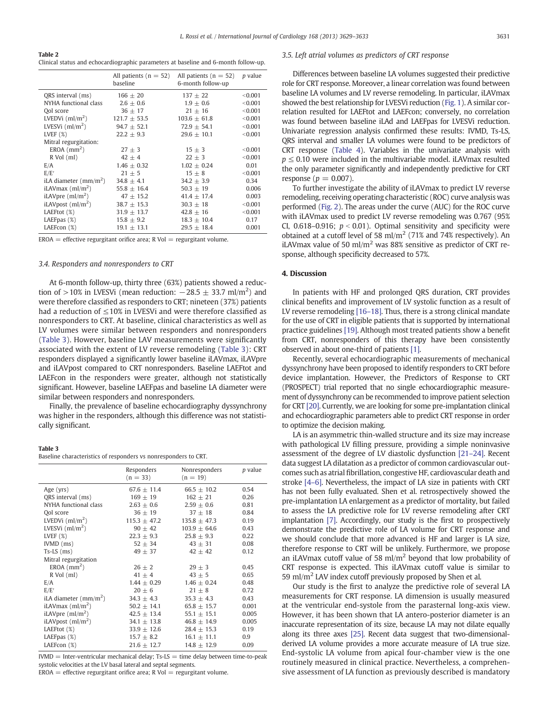#### <span id="page-2-0"></span>Table 2

Clinical status and echocardiographic parameters at baseline and 6-month follow-up.

|                               | All patients $(n = 52)$<br>baseline | All patients ( $n = 52$ )<br>6-month follow-up | <i>p</i> value |
|-------------------------------|-------------------------------------|------------------------------------------------|----------------|
| QRS interval (ms)             | $166 \pm 20$                        | $137 + 22$                                     | < 0.001        |
| NYHA functional class         | $2.6 + 0.6$                         | $1.9 + 0.6$                                    | < 0.001        |
| Ool score                     | $36 + 17$                           | $21 + 16$                                      | < 0.001        |
| LVEDVi $\frac{m}{m^2}$        | $121.7 + 53.5$                      | $103.6 + 61.8$                                 | < 0.001        |
| LVESVi $\frac{m}{m^2}$        | $94.7 \pm 52.1$                     | $72.9 \pm 54.1$                                | < 0.001        |
| LVEF $(X)$                    | $22.2 \pm 9.3$                      | $29.6 \pm 10.1$                                | < 0.001        |
| Mitral regurgitation:         |                                     |                                                |                |
| EROA $(mm2)$                  | $27 + 3$                            | $15 + 3$                                       | < 0.001        |
| R Vol (ml)                    | $42 \pm 4$                          | $22 \pm 3$                                     | < 0.001        |
| E/A                           | $1.46 + 0.32$                       | $1.02 + 0.24$                                  | 0.01           |
| E/E'                          | $21 + 5$                            | $15 + 8$                                       | < 0.001        |
| iLA diameter $\frac{mm}{m^2}$ | $34.8 + 4.1$                        | $34.2 + 3.9$                                   | 0.34           |
| iLAV $\text{max}(ml/m^2)$     | $55.8 \pm 16.4$                     | $50.3 \pm 19$                                  | 0.006          |
| iLAVpre $\rm (ml/m^2)$        | $47 + 15.2$                         | $41.4 + 17.4$                                  | 0.003          |
| iLAVpost $\frac{m}{m^2}$      | $38.7 + 15.3$                       | $30.3 + 18$                                    | < 0.001        |
| LAEFtot (%)                   | $31.9 + 13.7$                       | $42.8 + 16$                                    | < 0.001        |
| LAEFpas $(\%)$                | $15.8 \pm 9.2$                      | $18.3 \pm 10.4$                                | 0.17           |
| LAEFcon (%)                   | $19.1 \pm 13.1$                     | $29.5 \pm 18.4$                                | 0.001          |

 $EROA = effective$  regurgitant orifice area; R Vol = regurgitant volume.

# 3.4. Responders and nonresponders to CRT

At 6-month follow-up, thirty three (63%) patients showed a reduction of >10% in LVESVi (mean reduction:  $-28.5 \pm 33.7$  ml/m<sup>2</sup>) and were therefore classified as responders to CRT; nineteen (37%) patients had a reduction of  $\leq$ 10% in LVESVi and were therefore classified as nonresponders to CRT. At baseline, clinical characteristics as well as LV volumes were similar between responders and nonresponders (Table 3). However, baseline LAV measurements were significantly associated with the extent of LV reverse remodeling (Table 3): CRT responders displayed a significantly lower baseline iLAVmax, iLAVpre and iLAVpost compared to CRT nonresponders. Baseline LAEFtot and LAEFcon in the responders were greater, although not statistically significant. However, baseline LAEFpas and baseline LA diameter were similar between responders and nonresponders.

Finally, the prevalence of baseline echocardiography dyssynchrony was higher in the responders, although this difference was not statistically significant.

#### Table 3

Baseline characteristics of responders vs nonresponders to CRT.

|                                       | Responders       | Nonresponders    | <i>p</i> value |
|---------------------------------------|------------------|------------------|----------------|
|                                       | $(n = 33)$       | $(n = 19)$       |                |
| Age (yrs)                             | $67.6 + 11.4$    | $66.5 + 10.2$    | 0.54           |
| QRS interval (ms)                     | $169 \pm 19$     | $162 \pm 21$     | 0.26           |
| NYHA functional class                 | $2.63 \pm 0.6$   | $2.59 \pm 0.6$   | 0.81           |
| Ool score                             | $36 \pm 19$      | $37 \pm 18$      | 0.84           |
| LVEDVi $\rm (ml/m^2)$                 | $115.3 \pm 47.2$ | $135.8 \pm 47.3$ | 0.19           |
| LVESVi $\frac{m}{m^2}$                | $90 + 42$        | $103.9 + 64.6$   | 0.43           |
| LVEF $(%)$                            | $22.3 \pm 9.3$   | $25.8 \pm 9.3$   | 0.22           |
| $IVMD$ (ms)                           | $52 \pm 34$      | $43 + 31$        | 0.08           |
| $Ts-LS$ (ms)                          | $49 \pm 37$      | $42 \pm 42$      | 0.12           |
| Mitral regurgitation                  |                  |                  |                |
| $EROA$ (mm <sup>2</sup> )             | $26 \pm 2$       | $29 \pm 3$       | 0.45           |
| R Vol (ml)                            | $41 \pm 4$       | $43 \pm 5$       | 0.65           |
| E/A                                   | $1.44 \pm 0.29$  | $1.46 + 0.24$    | 0.48           |
| E/E'                                  | $20 + 6$         | $21 \pm 8$       | 0.72           |
| iLA diameter $\frac{mm}{m^2}$         | $34.3 + 4.3$     | $35.3 + 4.3$     | 0.43           |
| iLAV $\text{max}$ ( $\text{ml/m}^2$ ) | $50.2 \pm 14.1$  | $65.8 \pm 15.7$  | 0.001          |
| iLAVpre $\rm (ml/m^2)$                | $42.5 \pm 13.4$  | $55.1 \pm 15.1$  | 0.005          |
| iLAVpost $\rm (ml/m^2)$               | $34.1 \pm 13.8$  | $46.8 \pm 14.9$  | 0.005          |
| LAEFtot (%)                           | $33.9 \pm 12.6$  | $28.4 \pm 15.3$  | 0.19           |
| LAEFpas (%)                           | $15.7 \pm 8.2$   | $16.1 \pm 11.1$  | 0.9            |
| LAEFcon (%)                           | $21.6 \pm 12.7$  | $14.8 \pm 12.9$  | 0.09           |

 $I VMD = Inter-ventricular mechanical delay; Ts-LS = time delay between time-to-peak$ systolic velocities at the LV basal lateral and septal segments.

 $EROA =$  effective regurgitant orifice area: R Vol  $=$  regurgitant volume.

# 3.5. Left atrial volumes as predictors of CRT response

Differences between baseline LA volumes suggested their predictive role for CRT response. Moreover, a linear correlation was found between baseline LA volumes and LV reverse remodeling. In particular, iLAVmax showed the best relationship for LVESVi reduction ([Fig. 1\)](#page-3-0). A similar correlation resulted for LAEFtot and LAEFcon; conversely, no correlation was found between baseline iLAd and LAEFpas for LVESVi reduction. Univariate regression analysis confirmed these results: IVMD, Ts-LS, QRS interval and smaller LA volumes were found to be predictors of CRT response ([Table 4\)](#page-3-0). Variables in the univariate analysis with  $p \leq 0.10$  were included in the multivariable model. iLAV max resulted the only parameter significantly and independently predictive for CRT response ( $p = 0.007$ ).

To further investigate the ability of iLAVmax to predict LV reverse remodeling, receiving operating characteristic (ROC) curve analysis was performed ([Fig. 2](#page-3-0)). The areas under the curve (AUC) for the ROC curve with iLAVmax used to predict LV reverse remodeling was 0.767 (95% CI, 0.618–0.916;  $p < 0.01$ ). Optimal sensitivity and specificity were obtained at a cutoff level of 58 ml/m<sup>2</sup> (71% and 74% respectively). An iLAVmax value of 50 ml/m<sup>2</sup> was 88% sensitive as predictor of CRT response, although specificity decreased to 57%.

# 4. Discussion

In patients with HF and prolonged QRS duration, CRT provides clinical benefits and improvement of LV systolic function as a result of LV reverse remodeling [\[16](#page-4-0)–18]. Thus, there is a strong clinical mandate for the use of CRT in eligible patients that is supported by international practice guidelines [\[19\]](#page-4-0). Although most treated patients show a benefit from CRT, nonresponders of this therapy have been consistently observed in about one-third of patients [\[1\]](#page-4-0).

Recently, several echocardiographic measurements of mechanical dyssynchrony have been proposed to identify responders to CRT before device implantation. However, the Predictors of Response to CRT (PROSPECT) trial reported that no single echocardiographic measurement of dyssynchrony can be recommended to improve patient selection for CRT [\[20\]](#page-4-0). Currently, we are looking for some pre-implantation clinical and echocardiographic parameters able to predict CRT response in order to optimize the decision making.

LA is an asymmetric thin-walled structure and its size may increase with pathological LV filling pressure, providing a simple noninvasive assessment of the degree of LV diastolic dysfunction [21–[24\].](#page-4-0) Recent data suggest LA dilatation as a predictor of common cardiovascular outcomes such as atrial fibrillation, congestive HF, cardiovascular death and stroke [\[4](#page-4-0)–6]. Nevertheless, the impact of LA size in patients with CRT has not been fully evaluated. Shen et al. retrospectively showed the pre-implantation LA enlargement as a predictor of mortality, but failed to assess the LA predictive role for LV reverse remodeling after CRT implantation [\[7\].](#page-4-0) Accordingly, our study is the first to prospectively demonstrate the predictive role of LA volume for CRT response and we should conclude that more advanced is HF and larger is LA size, therefore response to CRT will be unlikely. Furthermore, we propose an iLAV max cutoff value of 58 ml/m<sup>2</sup> beyond that low probability of CRT response is expected. This iLAVmax cutoff value is similar to 59 ml/m<sup>2</sup> LAV index cutoff previously proposed by Shen et al.

Our study is the first to analyze the predictive role of several LA measurements for CRT response. LA dimension is usually measured at the ventricular end-systole from the parasternal long-axis view. However, it has been shown that LA antero-posterior diameter is an inaccurate representation of its size, because LA may not dilate equally along its three axes [\[25\]](#page-4-0). Recent data suggest that two-dimensionalderived LA volume provides a more accurate measure of LA true size. End-systolic LA volume from apical four-chamber view is the one routinely measured in clinical practice. Nevertheless, a comprehensive assessment of LA function as previously described is mandatory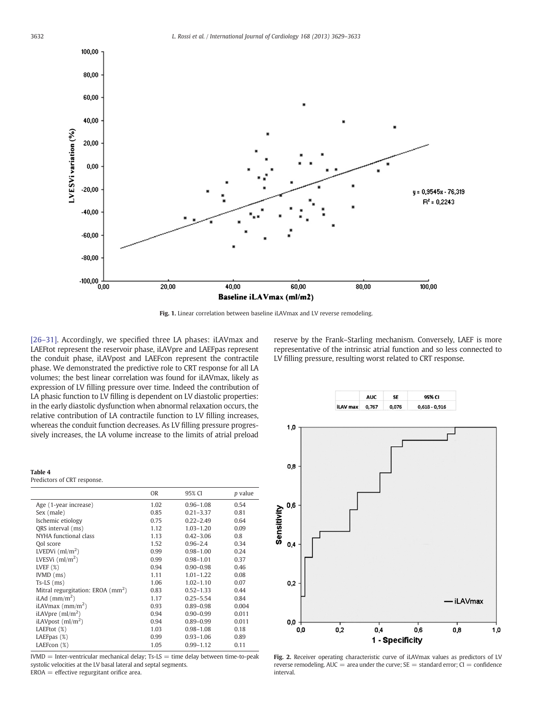<span id="page-3-0"></span>

Fig. 1. Linear correlation between baseline iLAVmax and LV reverse remodeling.

[26–[31\].](#page-4-0) Accordingly, we specified three LA phases: iLAVmax and LAEFtot represent the reservoir phase, iLAVpre and LAEFpas represent the conduit phase, iLAVpost and LAEFcon represent the contractile phase. We demonstrated the predictive role to CRT response for all LA volumes; the best linear correlation was found for iLAVmax, likely as expression of LV filling pressure over time. Indeed the contribution of LA phasic function to LV filling is dependent on LV diastolic properties: in the early diastolic dysfunction when abnormal relaxation occurs, the relative contribution of LA contractile function to LV filling increases, whereas the conduit function decreases. As LV filling pressure progressively increases, the LA volume increase to the limits of atrial preload

#### Table 4

Predictors of CRT response.

|                                         | <b>OR</b> | 95% CI        | <i>p</i> value |
|-----------------------------------------|-----------|---------------|----------------|
| Age (1-year increase)                   | 1.02      | $0.96 - 1.08$ | 0.54           |
| Sex (male)                              | 0.85      | $0.21 - 3.37$ | 0.81           |
| Ischemic etiology                       | 0.75      | $0.22 - 2.49$ | 0.64           |
| ORS interval (ms)                       | 1.12      | $1.03 - 1.20$ | 0.09           |
| NYHA functional class                   | 1.13      | $0.42 - 3.06$ | 0.8            |
| Ool score                               | 1.52      | $0.96 - 2.4$  | 0.34           |
| LVEDVi $(ml/m2)$                        | 0.99      | $0.98 - 1.00$ | 0.24           |
| LVESVi $\frac{m}{m^2}$                  | 0.99      | $0.98 - 1.01$ | 0.37           |
| LVEF $(X)$                              | 0.94      | $0.90 - 0.98$ | 0.46           |
| IVMD (ms)                               | 1.11      | $1.01 - 1.22$ | 0.08           |
| $Ts-LS$ (ms)                            | 1.06      | $1.02 - 1.10$ | 0.07           |
| Mitral regurgitation: EROA $\rm (mm^2)$ | 0.83      | $0.52 - 1.33$ | 0.44           |
| iLAd $\rm (mm/m^2)$                     | 1.17      | $0.25 - 5.54$ | 0.84           |
| iLAV $\text{max}(m/m^2)$                | 0.93      | $0.89 - 0.98$ | 0.004          |
| iLAVpre $\rm (ml/m^2)$                  | 0.94      | $0.90 - 0.99$ | 0.011          |
| iLAVpost $\rm (ml/m^2)$                 | 0.94      | $0.89 - 0.99$ | 0.011          |
| LAEFtot (%)                             | 1.03      | $0.98 - 1.08$ | 0.18           |
| LAEFpas $(\%)$                          | 0.99      | $0.93 - 1.06$ | 0.89           |
| LAEFcon (%)                             | 1.05      | $0.99 - 1.12$ | 0.11           |



reserve by the Frank–Starling mechanism. Conversely, LAEF is more representative of the intrinsic atrial function and so less connected to LV filling pressure, resulting worst related to CRT response.

**SF** 

**AUC** 

95% CI



Fig. 2. Receiver operating characteristic curve of iLAVmax values as predictors of LV reverse remodeling. AUC = area under the curve;  $SE =$  standard error;  $CI =$  confidence interval.